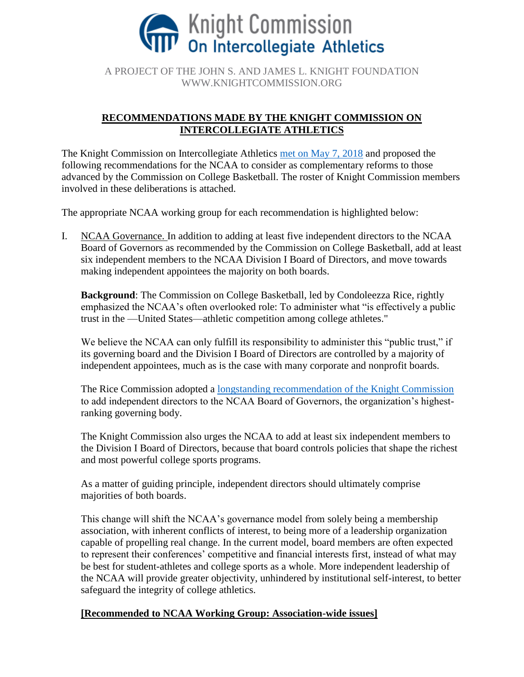

A PROJECT OF THE JOHN S. AND JAMES L. KNIGHT FOUNDATION WWW.KNIGHTCOMMISSION.ORG

# **RECOMMENDATIONS MADE BY THE KNIGHT COMMISSION ON INTERCOLLEGIATE ATHLETICS**

The Knight Commission on Intercollegiate Athletics [met on May 7, 2018](https://www.knightcommission.org/2018/05/knight-commission-urges-tougher-ncaa-reforms-to-regain-public-confidence-in-college-sports-group-seeks-reforms-that-go-beyond-rice-commission-proposals-for-basketball/) and proposed the following recommendations for the NCAA to consider as complementary reforms to those advanced by the Commission on College Basketball. The roster of Knight Commission members involved in these deliberations is attached.

The appropriate NCAA working group for each recommendation is highlighted below:

I. NCAA Governance. In addition to adding at least five independent directors to the NCAA Board of Governors as recommended by the Commission on College Basketball, add at least six independent members to the NCAA Division I Board of Directors, and move towards making independent appointees the majority on both boards.

**Background**: The Commission on College Basketball, led by Condoleezza Rice, rightly emphasized the NCAA's often overlooked role: To administer what "is effectively a public trust in the —United States—athletic competition among college athletes."

We believe the NCAA can only fulfill its responsibility to administer this "public trust," if its governing board and the Division I Board of Directors are controlled by a majority of independent appointees, much as is the case with many corporate and nonprofit boards.

The Rice Commission adopted a [longstanding recommendation of the Knight Commission](https://www.knightcommission.org/2013/08/knight-commission-memorandum-to-ncaa-president-mark-emmert-and-ncaa-board-of-directors-on-ncaa-governance-and-related-issues/) to add independent directors to the NCAA Board of Governors, the organization's highestranking governing body.

The Knight Commission also urges the NCAA to add at least six independent members to the Division I Board of Directors, because that board controls policies that shape the richest and most powerful college sports programs.

As a matter of guiding principle, independent directors should ultimately comprise majorities of both boards.

This change will shift the NCAA's governance model from solely being a membership association, with inherent conflicts of interest, to being more of a leadership organization capable of propelling real change. In the current model, board members are often expected to represent their conferences' competitive and financial interests first, instead of what may be best for student-athletes and college sports as a whole. More independent leadership of the NCAA will provide greater objectivity, unhindered by institutional self-interest, to better safeguard the integrity of college athletics.

## **[Recommended to NCAA Working Group: Association-wide issues]**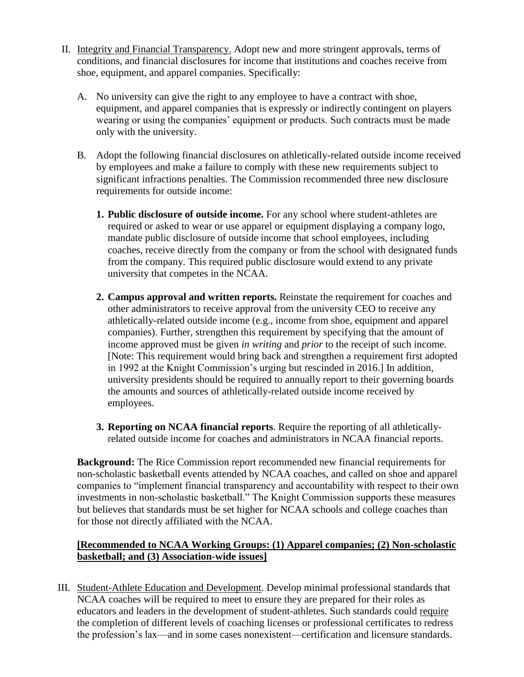- II. Integrity and Financial Transparency. Adopt new and more stringent approvals, terms of conditions, and financial disclosures for income that institutions and coaches receive from shoe, equipment, and apparel companies. Specifically:
	- A. No university can give the right to any employee to have a contract with shoe, equipment, and apparel companies that is expressly or indirectly contingent on players wearing or using the companies' equipment or products. Such contracts must be made only with the university.
	- B. Adopt the following financial disclosures on athletically-related outside income received by employees and make a failure to comply with these new requirements subject to significant infractions penalties. The Commission recommended three new disclosure requirements for outside income:
		- **1. Public disclosure of outside income.** For any school where student-athletes are required or asked to wear or use apparel or equipment displaying a company logo, mandate public disclosure of outside income that school employees, including coaches, receive directly from the company or from the school with designated funds from the company. This required public disclosure would extend to any private university that competes in the NCAA.
		- **2. Campus approval and written reports.** Reinstate the requirement for coaches and other administrators to receive approval from the university CEO to receive any athletically-related outside income (e.g., income from shoe, equipment and apparel companies). Further, strengthen this requirement by specifying that the amount of income approved must be given *in writing* and *prior* to the receipt of such income. [Note: This requirement would bring back and strengthen a requirement first adopted in 1992 at the Knight Commission's urging but rescinded in 2016.] In addition, university presidents should be required to annually report to their governing boards the amounts and sources of athletically-related outside income received by employees.
		- **3. Reporting on NCAA financial reports**. Require the reporting of all athleticallyrelated outside income for coaches and administrators in NCAA financial reports.

**Background:** The Rice Commission report recommended new financial requirements for non-scholastic basketball events attended by NCAA coaches, and called on shoe and apparel companies to "implement financial transparency and accountability with respect to their own investments in non-scholastic basketball." The Knight Commission supports these measures but believes that standards must be set higher for NCAA schools and college coaches than for those not directly affiliated with the NCAA.

## **[Recommended to NCAA Working Groups: (1) Apparel companies; (2) Non-scholastic basketball; and (3) Association-wide issues]**

III. Student-Athlete Education and Development. Develop minimal professional standards that NCAA coaches will be required to meet to ensure they are prepared for their roles as educators and leaders in the development of student-athletes. Such standards could require the completion of different levels of coaching licenses or professional certificates to redress the profession's lax—and in some cases nonexistent—certification and licensure standards.